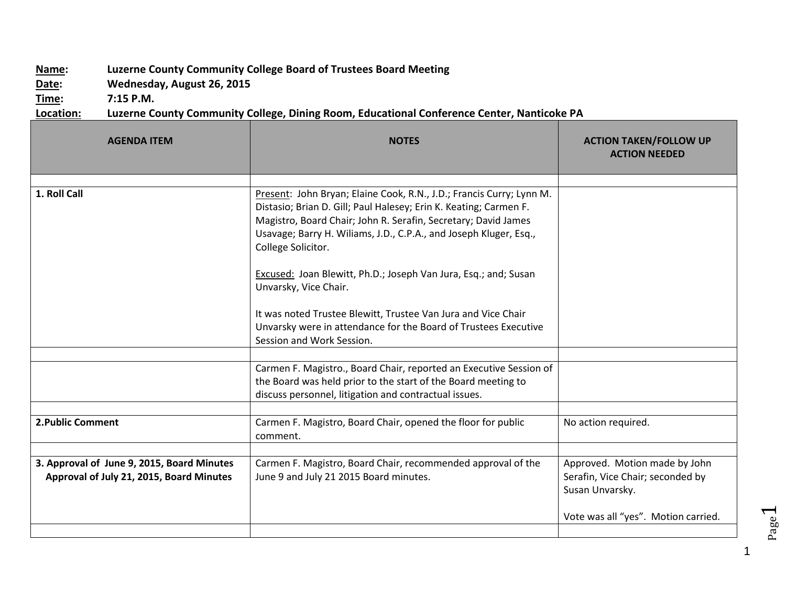## **Name: Luzerne County Community College Board of Trustees Board Meeting**

**Date: Wednesday, August 26, 2015**

**Time: 7:15 P.M.**

## **Location: Luzerne County Community College, Dining Room, Educational Conference Center, Nanticoke PA**

| <b>AGENDA ITEM</b>                                                                     | <b>NOTES</b>                                                                                                                                                                                                                                                                                                                                                                                       | <b>ACTION TAKEN/FOLLOW UP</b><br><b>ACTION NEEDED</b>                                |
|----------------------------------------------------------------------------------------|----------------------------------------------------------------------------------------------------------------------------------------------------------------------------------------------------------------------------------------------------------------------------------------------------------------------------------------------------------------------------------------------------|--------------------------------------------------------------------------------------|
|                                                                                        |                                                                                                                                                                                                                                                                                                                                                                                                    |                                                                                      |
| 1. Roll Call                                                                           | Present: John Bryan; Elaine Cook, R.N., J.D.; Francis Curry; Lynn M.<br>Distasio; Brian D. Gill; Paul Halesey; Erin K. Keating; Carmen F.<br>Magistro, Board Chair; John R. Serafin, Secretary; David James<br>Usavage; Barry H. Wiliams, J.D., C.P.A., and Joseph Kluger, Esq.,<br>College Solicitor.<br>Excused: Joan Blewitt, Ph.D.; Joseph Van Jura, Esq.; and; Susan<br>Unvarsky, Vice Chair. |                                                                                      |
|                                                                                        | It was noted Trustee Blewitt, Trustee Van Jura and Vice Chair<br>Unvarsky were in attendance for the Board of Trustees Executive<br>Session and Work Session.                                                                                                                                                                                                                                      |                                                                                      |
|                                                                                        |                                                                                                                                                                                                                                                                                                                                                                                                    |                                                                                      |
|                                                                                        | Carmen F. Magistro., Board Chair, reported an Executive Session of<br>the Board was held prior to the start of the Board meeting to<br>discuss personnel, litigation and contractual issues.                                                                                                                                                                                                       |                                                                                      |
|                                                                                        |                                                                                                                                                                                                                                                                                                                                                                                                    |                                                                                      |
| 2. Public Comment                                                                      | Carmen F. Magistro, Board Chair, opened the floor for public<br>comment.                                                                                                                                                                                                                                                                                                                           | No action required.                                                                  |
|                                                                                        |                                                                                                                                                                                                                                                                                                                                                                                                    |                                                                                      |
| 3. Approval of June 9, 2015, Board Minutes<br>Approval of July 21, 2015, Board Minutes | Carmen F. Magistro, Board Chair, recommended approval of the<br>June 9 and July 21 2015 Board minutes.                                                                                                                                                                                                                                                                                             | Approved. Motion made by John<br>Serafin, Vice Chair; seconded by<br>Susan Unvarsky. |
|                                                                                        |                                                                                                                                                                                                                                                                                                                                                                                                    | Vote was all "yes". Motion carried.                                                  |
|                                                                                        |                                                                                                                                                                                                                                                                                                                                                                                                    |                                                                                      |

1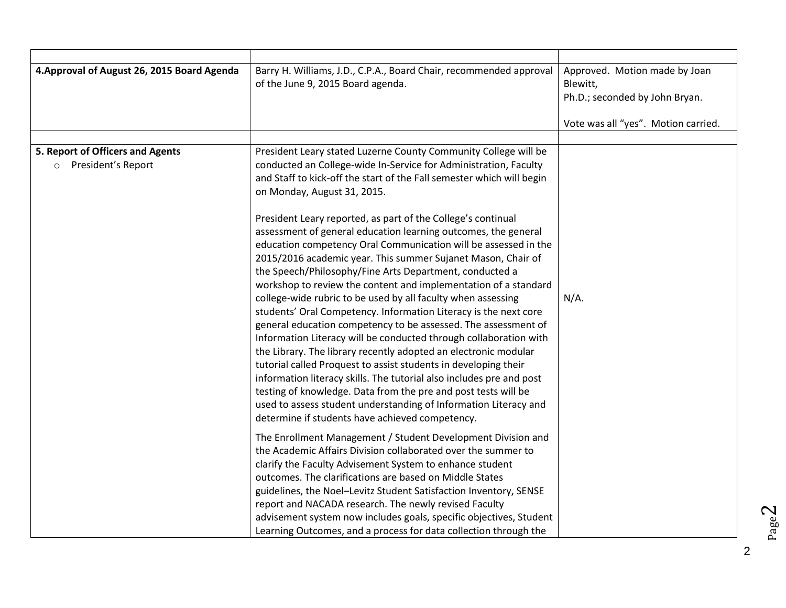| 4. Approval of August 26, 2015 Board Agenda              | Barry H. Williams, J.D., C.P.A., Board Chair, recommended approval<br>of the June 9, 2015 Board agenda.                                                                                                                                                                                                                                                                                                                                                                                                                                                                                                                                                                                                                                                                                                                                                                                                                                                                                                                                                                                                                                                                                                                                                                                                                          | Approved. Motion made by Joan<br>Blewitt,<br>Ph.D.; seconded by John Bryan.<br>Vote was all "yes". Motion carried. |
|----------------------------------------------------------|----------------------------------------------------------------------------------------------------------------------------------------------------------------------------------------------------------------------------------------------------------------------------------------------------------------------------------------------------------------------------------------------------------------------------------------------------------------------------------------------------------------------------------------------------------------------------------------------------------------------------------------------------------------------------------------------------------------------------------------------------------------------------------------------------------------------------------------------------------------------------------------------------------------------------------------------------------------------------------------------------------------------------------------------------------------------------------------------------------------------------------------------------------------------------------------------------------------------------------------------------------------------------------------------------------------------------------|--------------------------------------------------------------------------------------------------------------------|
|                                                          |                                                                                                                                                                                                                                                                                                                                                                                                                                                                                                                                                                                                                                                                                                                                                                                                                                                                                                                                                                                                                                                                                                                                                                                                                                                                                                                                  |                                                                                                                    |
| 5. Report of Officers and Agents<br>o President's Report | President Leary stated Luzerne County Community College will be<br>conducted an College-wide In-Service for Administration, Faculty<br>and Staff to kick-off the start of the Fall semester which will begin<br>on Monday, August 31, 2015.<br>President Leary reported, as part of the College's continual<br>assessment of general education learning outcomes, the general<br>education competency Oral Communication will be assessed in the<br>2015/2016 academic year. This summer Sujanet Mason, Chair of<br>the Speech/Philosophy/Fine Arts Department, conducted a<br>workshop to review the content and implementation of a standard<br>college-wide rubric to be used by all faculty when assessing<br>students' Oral Competency. Information Literacy is the next core<br>general education competency to be assessed. The assessment of<br>Information Literacy will be conducted through collaboration with<br>the Library. The library recently adopted an electronic modular<br>tutorial called Proquest to assist students in developing their<br>information literacy skills. The tutorial also includes pre and post<br>testing of knowledge. Data from the pre and post tests will be<br>used to assess student understanding of Information Literacy and<br>determine if students have achieved competency. | $N/A$ .                                                                                                            |
|                                                          | The Enrollment Management / Student Development Division and<br>the Academic Affairs Division collaborated over the summer to<br>clarify the Faculty Advisement System to enhance student<br>outcomes. The clarifications are based on Middle States<br>guidelines, the Noel-Levitz Student Satisfaction Inventory, SENSE<br>report and NACADA research. The newly revised Faculty<br>advisement system now includes goals, specific objectives, Student<br>Learning Outcomes, and a process for data collection through the                                                                                                                                                                                                                                                                                                                                                                                                                                                                                                                                                                                                                                                                                                                                                                                                     |                                                                                                                    |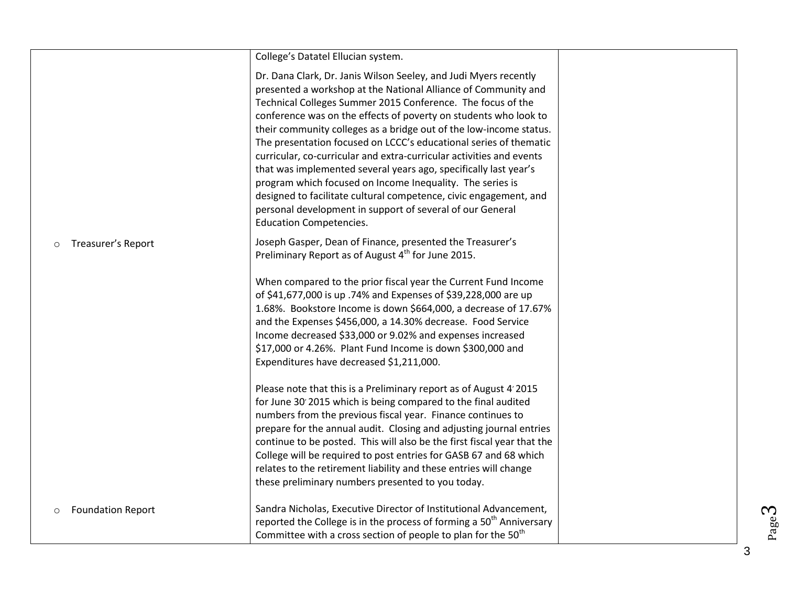|                                     | College's Datatel Ellucian system.                                                                                                                                                                                                                                                                                                                                                                                                                                                                                                                                                                                                                                                                                                                                                            |  |
|-------------------------------------|-----------------------------------------------------------------------------------------------------------------------------------------------------------------------------------------------------------------------------------------------------------------------------------------------------------------------------------------------------------------------------------------------------------------------------------------------------------------------------------------------------------------------------------------------------------------------------------------------------------------------------------------------------------------------------------------------------------------------------------------------------------------------------------------------|--|
|                                     | Dr. Dana Clark, Dr. Janis Wilson Seeley, and Judi Myers recently<br>presented a workshop at the National Alliance of Community and<br>Technical Colleges Summer 2015 Conference. The focus of the<br>conference was on the effects of poverty on students who look to<br>their community colleges as a bridge out of the low-income status.<br>The presentation focused on LCCC's educational series of thematic<br>curricular, co-curricular and extra-curricular activities and events<br>that was implemented several years ago, specifically last year's<br>program which focused on Income Inequality. The series is<br>designed to facilitate cultural competence, civic engagement, and<br>personal development in support of several of our General<br><b>Education Competencies.</b> |  |
| Treasurer's Report<br>$\circ$       | Joseph Gasper, Dean of Finance, presented the Treasurer's<br>Preliminary Report as of August 4 <sup>th</sup> for June 2015.                                                                                                                                                                                                                                                                                                                                                                                                                                                                                                                                                                                                                                                                   |  |
|                                     | When compared to the prior fiscal year the Current Fund Income<br>of \$41,677,000 is up .74% and Expenses of \$39,228,000 are up<br>1.68%. Bookstore Income is down \$664,000, a decrease of 17.67%<br>and the Expenses \$456,000, a 14.30% decrease. Food Service<br>Income decreased \$33,000 or 9.02% and expenses increased<br>\$17,000 or 4.26%. Plant Fund Income is down \$300,000 and<br>Expenditures have decreased \$1,211,000.                                                                                                                                                                                                                                                                                                                                                     |  |
|                                     | Please note that this is a Preliminary report as of August 4' 2015<br>for June 30 2015 which is being compared to the final audited<br>numbers from the previous fiscal year. Finance continues to<br>prepare for the annual audit. Closing and adjusting journal entries<br>continue to be posted. This will also be the first fiscal year that the<br>College will be required to post entries for GASB 67 and 68 which<br>relates to the retirement liability and these entries will change<br>these preliminary numbers presented to you today.                                                                                                                                                                                                                                           |  |
| <b>Foundation Report</b><br>$\circ$ | Sandra Nicholas, Executive Director of Institutional Advancement,<br>reported the College is in the process of forming a 50 <sup>th</sup> Anniversary<br>Committee with a cross section of people to plan for the 50 <sup>th</sup>                                                                                                                                                                                                                                                                                                                                                                                                                                                                                                                                                            |  |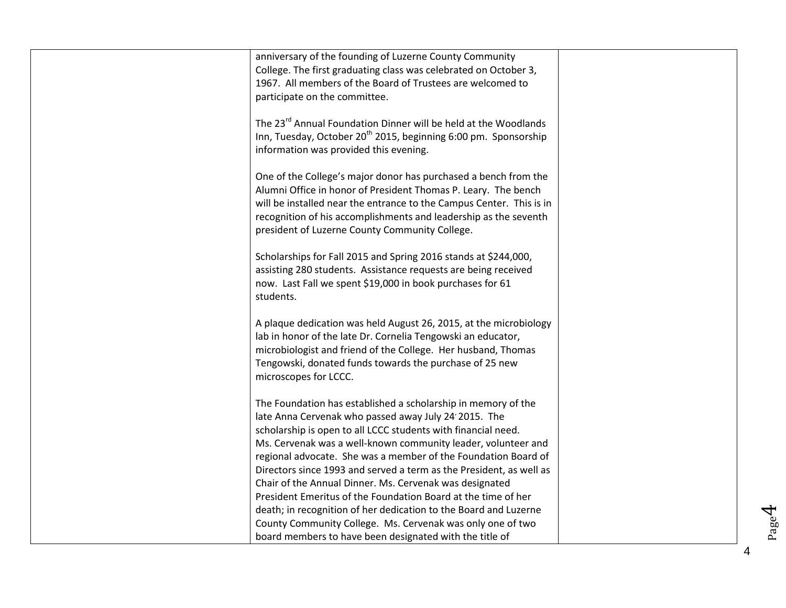| anniversary of the founding of Luzerne County Community<br>College. The first graduating class was celebrated on October 3,<br>1967. All members of the Board of Trustees are welcomed to<br>participate on the committee.                                                                                                      |  |
|---------------------------------------------------------------------------------------------------------------------------------------------------------------------------------------------------------------------------------------------------------------------------------------------------------------------------------|--|
| The 23 <sup>rd</sup> Annual Foundation Dinner will be held at the Woodlands<br>Inn, Tuesday, October 20 <sup>th</sup> 2015, beginning 6:00 pm. Sponsorship<br>information was provided this evening.                                                                                                                            |  |
| One of the College's major donor has purchased a bench from the<br>Alumni Office in honor of President Thomas P. Leary. The bench<br>will be installed near the entrance to the Campus Center. This is in<br>recognition of his accomplishments and leadership as the seventh<br>president of Luzerne County Community College. |  |
| Scholarships for Fall 2015 and Spring 2016 stands at \$244,000,<br>assisting 280 students. Assistance requests are being received<br>now. Last Fall we spent \$19,000 in book purchases for 61<br>students.                                                                                                                     |  |
| A plaque dedication was held August 26, 2015, at the microbiology<br>lab in honor of the late Dr. Cornelia Tengowski an educator,<br>microbiologist and friend of the College. Her husband, Thomas<br>Tengowski, donated funds towards the purchase of 25 new<br>microscopes for LCCC.                                          |  |
| The Foundation has established a scholarship in memory of the<br>late Anna Cervenak who passed away July 24' 2015. The<br>scholarship is open to all LCCC students with financial need.<br>Ms. Cervenak was a well-known community leader, volunteer and                                                                        |  |
| regional advocate. She was a member of the Foundation Board of<br>Directors since 1993 and served a term as the President, as well as<br>Chair of the Annual Dinner. Ms. Cervenak was designated<br>President Emeritus of the Foundation Board at the time of her                                                               |  |
| death; in recognition of her dedication to the Board and Luzerne<br>County Community College. Ms. Cervenak was only one of two<br>board members to have been designated with the title of                                                                                                                                       |  |

Page4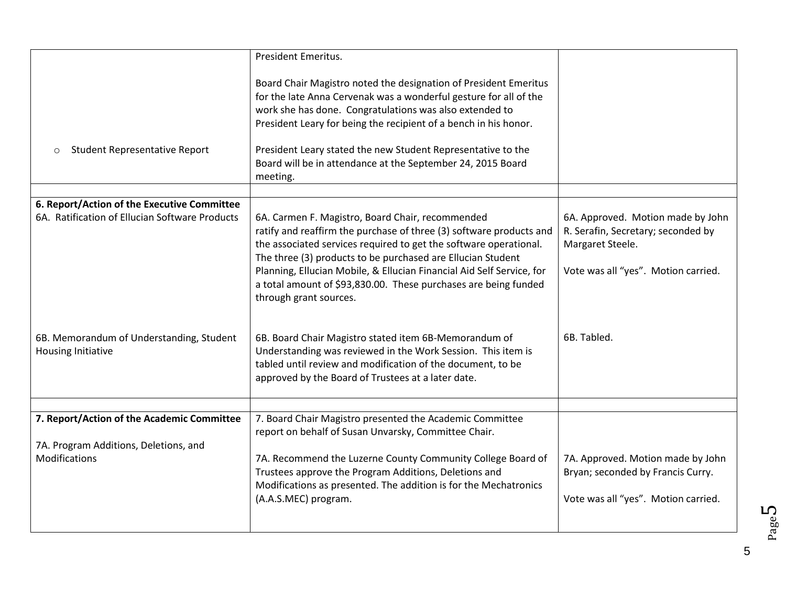|                                                                                                      | President Emeritus.                                                                                                                                                                                                                                                                                                                                                                                                               |                                                                                                                                    |
|------------------------------------------------------------------------------------------------------|-----------------------------------------------------------------------------------------------------------------------------------------------------------------------------------------------------------------------------------------------------------------------------------------------------------------------------------------------------------------------------------------------------------------------------------|------------------------------------------------------------------------------------------------------------------------------------|
|                                                                                                      |                                                                                                                                                                                                                                                                                                                                                                                                                                   |                                                                                                                                    |
|                                                                                                      | Board Chair Magistro noted the designation of President Emeritus<br>for the late Anna Cervenak was a wonderful gesture for all of the<br>work she has done. Congratulations was also extended to<br>President Leary for being the recipient of a bench in his honor.                                                                                                                                                              |                                                                                                                                    |
| <b>Student Representative Report</b><br>$\circ$                                                      | President Leary stated the new Student Representative to the<br>Board will be in attendance at the September 24, 2015 Board<br>meeting.                                                                                                                                                                                                                                                                                           |                                                                                                                                    |
|                                                                                                      |                                                                                                                                                                                                                                                                                                                                                                                                                                   |                                                                                                                                    |
| 6. Report/Action of the Executive Committee<br>6A. Ratification of Ellucian Software Products        | 6A. Carmen F. Magistro, Board Chair, recommended<br>ratify and reaffirm the purchase of three (3) software products and<br>the associated services required to get the software operational.<br>The three (3) products to be purchased are Ellucian Student<br>Planning, Ellucian Mobile, & Ellucian Financial Aid Self Service, for<br>a total amount of \$93,830.00. These purchases are being funded<br>through grant sources. | 6A. Approved. Motion made by John<br>R. Serafin, Secretary; seconded by<br>Margaret Steele.<br>Vote was all "yes". Motion carried. |
| 6B. Memorandum of Understanding, Student<br><b>Housing Initiative</b>                                | 6B. Board Chair Magistro stated item 6B-Memorandum of<br>Understanding was reviewed in the Work Session. This item is<br>tabled until review and modification of the document, to be<br>approved by the Board of Trustees at a later date.                                                                                                                                                                                        | 6B. Tabled.                                                                                                                        |
|                                                                                                      |                                                                                                                                                                                                                                                                                                                                                                                                                                   |                                                                                                                                    |
| 7. Report/Action of the Academic Committee<br>7A. Program Additions, Deletions, and<br>Modifications | 7. Board Chair Magistro presented the Academic Committee<br>report on behalf of Susan Unvarsky, Committee Chair.<br>7A. Recommend the Luzerne County Community College Board of<br>Trustees approve the Program Additions, Deletions and<br>Modifications as presented. The addition is for the Mechatronics<br>(A.A.S.MEC) program.                                                                                              | 7A. Approved. Motion made by John<br>Bryan; seconded by Francis Curry.<br>Vote was all "yes". Motion carried.                      |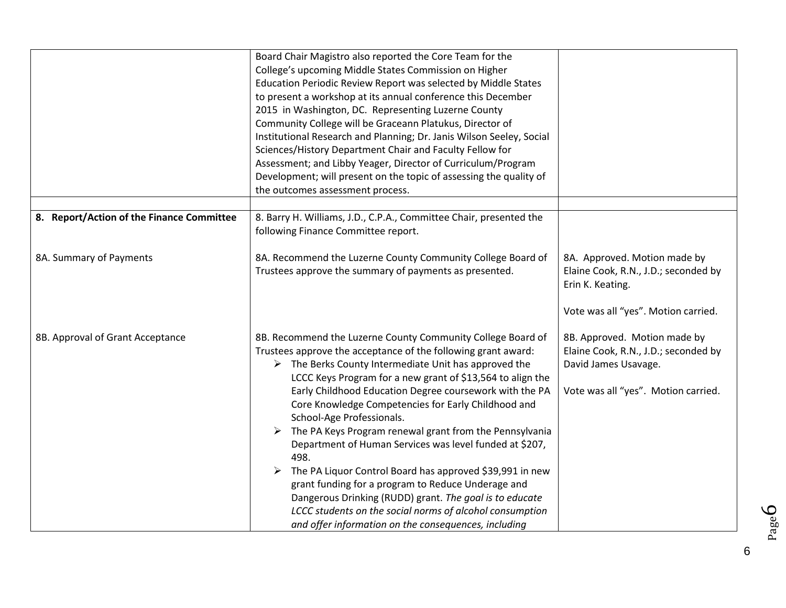|                                           | Board Chair Magistro also reported the Core Team for the<br>College's upcoming Middle States Commission on Higher<br>Education Periodic Review Report was selected by Middle States<br>to present a workshop at its annual conference this December<br>2015 in Washington, DC. Representing Luzerne County<br>Community College will be Graceann Platukus, Director of<br>Institutional Research and Planning; Dr. Janis Wilson Seeley, Social<br>Sciences/History Department Chair and Faculty Fellow for<br>Assessment; and Libby Yeager, Director of Curriculum/Program<br>Development; will present on the topic of assessing the quality of<br>the outcomes assessment process.                                                                                                                                                                  |                                                                                                                                     |
|-------------------------------------------|-------------------------------------------------------------------------------------------------------------------------------------------------------------------------------------------------------------------------------------------------------------------------------------------------------------------------------------------------------------------------------------------------------------------------------------------------------------------------------------------------------------------------------------------------------------------------------------------------------------------------------------------------------------------------------------------------------------------------------------------------------------------------------------------------------------------------------------------------------|-------------------------------------------------------------------------------------------------------------------------------------|
|                                           |                                                                                                                                                                                                                                                                                                                                                                                                                                                                                                                                                                                                                                                                                                                                                                                                                                                       |                                                                                                                                     |
| 8. Report/Action of the Finance Committee | 8. Barry H. Williams, J.D., C.P.A., Committee Chair, presented the<br>following Finance Committee report.                                                                                                                                                                                                                                                                                                                                                                                                                                                                                                                                                                                                                                                                                                                                             |                                                                                                                                     |
| 8A. Summary of Payments                   | 8A. Recommend the Luzerne County Community College Board of<br>Trustees approve the summary of payments as presented.                                                                                                                                                                                                                                                                                                                                                                                                                                                                                                                                                                                                                                                                                                                                 | 8A. Approved. Motion made by<br>Elaine Cook, R.N., J.D.; seconded by<br>Erin K. Keating.<br>Vote was all "yes". Motion carried.     |
| 8B. Approval of Grant Acceptance          | 8B. Recommend the Luzerne County Community College Board of<br>Trustees approve the acceptance of the following grant award:<br>$\triangleright$ The Berks County Intermediate Unit has approved the<br>LCCC Keys Program for a new grant of \$13,564 to align the<br>Early Childhood Education Degree coursework with the PA<br>Core Knowledge Competencies for Early Childhood and<br>School-Age Professionals.<br>The PA Keys Program renewal grant from the Pennsylvania<br>Department of Human Services was level funded at \$207,<br>498.<br>The PA Liquor Control Board has approved \$39,991 in new<br>➤<br>grant funding for a program to Reduce Underage and<br>Dangerous Drinking (RUDD) grant. The goal is to educate<br>LCCC students on the social norms of alcohol consumption<br>and offer information on the consequences, including | 8B. Approved. Motion made by<br>Elaine Cook, R.N., J.D.; seconded by<br>David James Usavage.<br>Vote was all "yes". Motion carried. |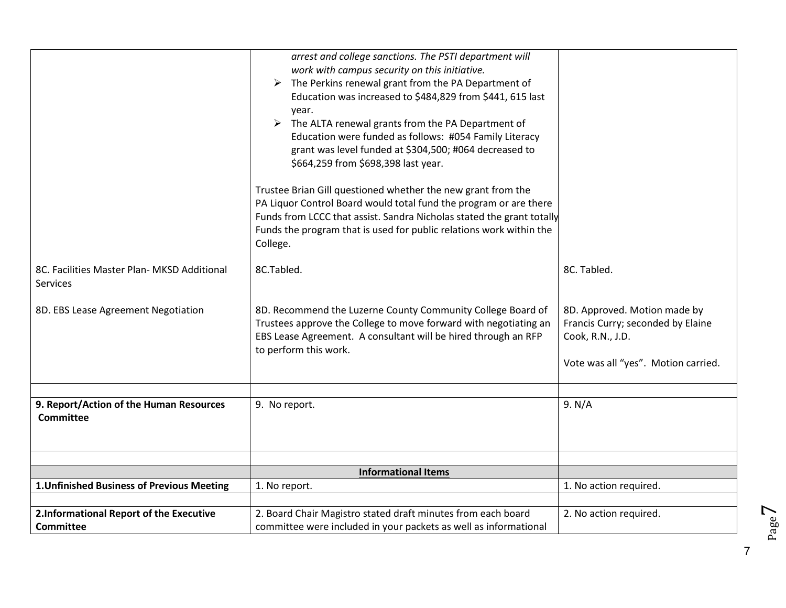|                                                                | arrest and college sanctions. The PSTI department will<br>work with campus security on this initiative.<br>The Perkins renewal grant from the PA Department of<br>➤<br>Education was increased to \$484,829 from \$441, 615 last<br>year.<br>The ALTA renewal grants from the PA Department of<br>➤<br>Education were funded as follows: #054 Family Literacy<br>grant was level funded at \$304,500; #064 decreased to<br>\$664,259 from \$698,398 last year.<br>Trustee Brian Gill questioned whether the new grant from the<br>PA Liquor Control Board would total fund the program or are there<br>Funds from LCCC that assist. Sandra Nicholas stated the grant totally<br>Funds the program that is used for public relations work within the<br>College. |                                                                                                                              |
|----------------------------------------------------------------|-----------------------------------------------------------------------------------------------------------------------------------------------------------------------------------------------------------------------------------------------------------------------------------------------------------------------------------------------------------------------------------------------------------------------------------------------------------------------------------------------------------------------------------------------------------------------------------------------------------------------------------------------------------------------------------------------------------------------------------------------------------------|------------------------------------------------------------------------------------------------------------------------------|
| 8C. Facilities Master Plan- MKSD Additional<br><b>Services</b> | 8C.Tabled.                                                                                                                                                                                                                                                                                                                                                                                                                                                                                                                                                                                                                                                                                                                                                      | 8C. Tabled.                                                                                                                  |
| 8D. EBS Lease Agreement Negotiation                            | 8D. Recommend the Luzerne County Community College Board of<br>Trustees approve the College to move forward with negotiating an<br>EBS Lease Agreement. A consultant will be hired through an RFP<br>to perform this work.                                                                                                                                                                                                                                                                                                                                                                                                                                                                                                                                      | 8D. Approved. Motion made by<br>Francis Curry; seconded by Elaine<br>Cook, R.N., J.D.<br>Vote was all "yes". Motion carried. |
|                                                                |                                                                                                                                                                                                                                                                                                                                                                                                                                                                                                                                                                                                                                                                                                                                                                 |                                                                                                                              |
| 9. Report/Action of the Human Resources<br><b>Committee</b>    | 9. No report.                                                                                                                                                                                                                                                                                                                                                                                                                                                                                                                                                                                                                                                                                                                                                   | 9. N/A                                                                                                                       |
|                                                                |                                                                                                                                                                                                                                                                                                                                                                                                                                                                                                                                                                                                                                                                                                                                                                 |                                                                                                                              |
|                                                                | <b>Informational Items</b>                                                                                                                                                                                                                                                                                                                                                                                                                                                                                                                                                                                                                                                                                                                                      |                                                                                                                              |
| 1. Unfinished Business of Previous Meeting                     | 1. No report.                                                                                                                                                                                                                                                                                                                                                                                                                                                                                                                                                                                                                                                                                                                                                   | 1. No action required.                                                                                                       |
|                                                                |                                                                                                                                                                                                                                                                                                                                                                                                                                                                                                                                                                                                                                                                                                                                                                 |                                                                                                                              |
| 2.Informational Report of the Executive<br>Committee           | 2. Board Chair Magistro stated draft minutes from each board<br>committee were included in your packets as well as informational                                                                                                                                                                                                                                                                                                                                                                                                                                                                                                                                                                                                                                | 2. No action required.                                                                                                       |
|                                                                |                                                                                                                                                                                                                                                                                                                                                                                                                                                                                                                                                                                                                                                                                                                                                                 |                                                                                                                              |